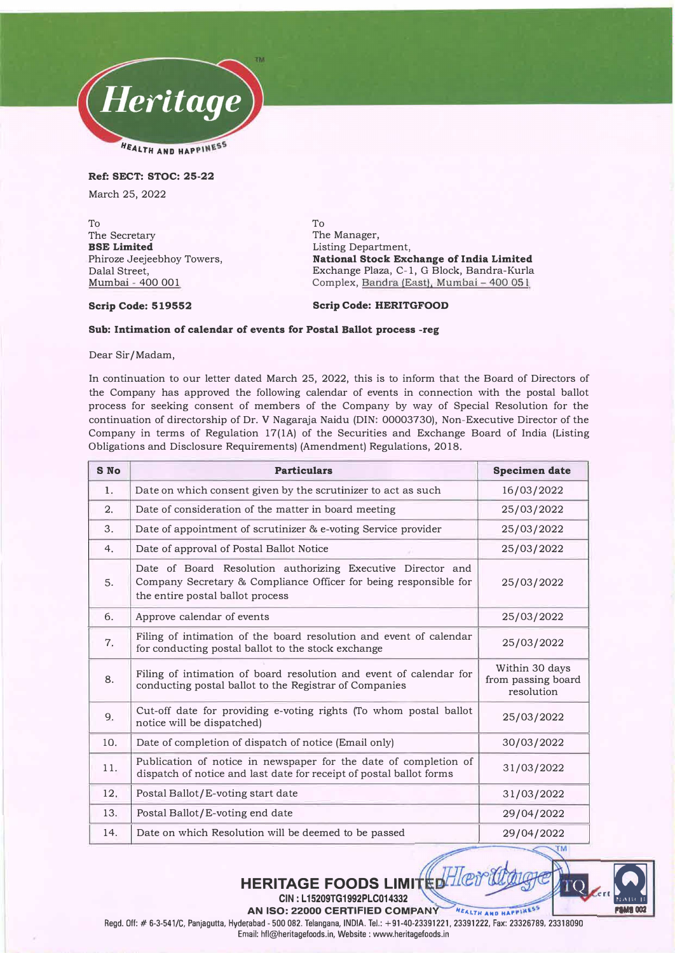

**Ref: SECT: STOC: 25-22** 

March 25, 2022

To The Secretary **BSE Limited**  Phiroze Jeejeebhoy Towers, Dalal Street, Mumbai - 400 001

To The Manager, Listing Department, **National Stock Exchange of India Limited**  Exchange Plaza, C-1, G Block, Bandra-Kurla Complex, Bandra (East), Mumbai - 400 051

# **Scrip Code: 519552 Scrip Code: HERITGFOOD**

## **Sub: Intimation of calendar of events for Postal Ballot process -reg**

Dear Sir/Madam,

In continuation to our letter dated March 25, 2022, this is to inform that the Board of Directors of the Company has approved the following calendar of events in connection with the postal ballot process for seeking consent of members of the Company by way of Special Resolution for the continuation of directorship of Dr. V Nagaraja Naidu (DIN: 00003730), Non-Executive Director of the Company in terms of Regulation 17(1A) of the Securities and Exchange Board of India (Listing Obligations and Disclosure Requirements) (Amendment) Regulations, 2018.

| <b>S</b> No | <b>Particulars</b>                                                                                                                                                  | <b>Specimen date</b>                               |
|-------------|---------------------------------------------------------------------------------------------------------------------------------------------------------------------|----------------------------------------------------|
| 1.          | Date on which consent given by the scrutinizer to act as such                                                                                                       | 16/03/2022                                         |
| 2.          | Date of consideration of the matter in board meeting                                                                                                                | 25/03/2022                                         |
| 3.          | Date of appointment of scrutinizer & e-voting Service provider                                                                                                      | 25/03/2022                                         |
| 4.          | Date of approval of Postal Ballot Notice                                                                                                                            | 25/03/2022                                         |
| 5.          | Date of Board Resolution authorizing Executive Director and<br>Company Secretary & Compliance Officer for being responsible for<br>the entire postal ballot process | 25/03/2022                                         |
| 6.          | Approve calendar of events                                                                                                                                          | 25/03/2022                                         |
| 7.          | Filing of intimation of the board resolution and event of calendar<br>for conducting postal ballot to the stock exchange                                            | 25/03/2022                                         |
| 8.          | Filing of intimation of board resolution and event of calendar for<br>conducting postal ballot to the Registrar of Companies                                        | Within 30 days<br>from passing board<br>resolution |
| 9.          | Cut-off date for providing e-voting rights (To whom postal ballot<br>notice will be dispatched)                                                                     | 25/03/2022                                         |
| 10.         | Date of completion of dispatch of notice (Email only)                                                                                                               | 30/03/2022                                         |
| 11.         | Publication of notice in newspaper for the date of completion of<br>dispatch of notice and last date for receipt of postal ballot forms                             | 31/03/2022                                         |
| 12.         | Postal Ballot/E-voting start date                                                                                                                                   | 31/03/2022                                         |
| 13.         | Postal Ballot/E-voting end date                                                                                                                                     | 29/04/2022                                         |
| 14.         | Date on which Resolution will be deemed to be passed                                                                                                                | 29/04/2022                                         |



Regd. Off:# 6-3-541/C, Panjagutta, Hyderabad- 500 082. Telangana, INDIA. Tel.: +91-40-23391221, 23391222 , Fax: 23326789, 23318090 Email: hfl@heritagefoods.in, Website : www.heritagefoods.in